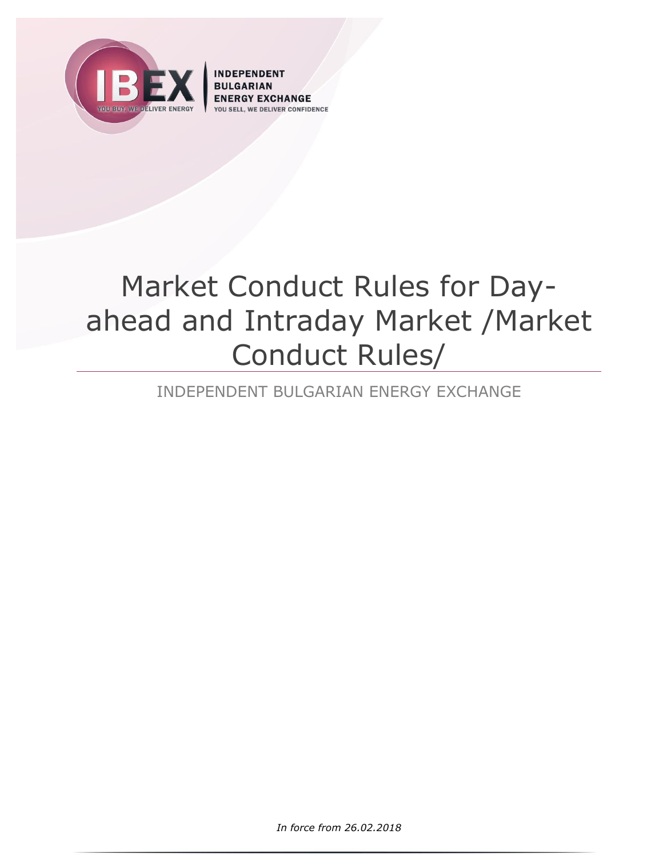

**INDEPENDENT** CHANGE **VER CONFIDENCE** 

# Market Conduct Rules for Dayahead and Intraday Market /Market Conduct Rules/

# INDEPENDENT BULGARIAN ENERGY EXCHANGE

*In force from 26.02.2018*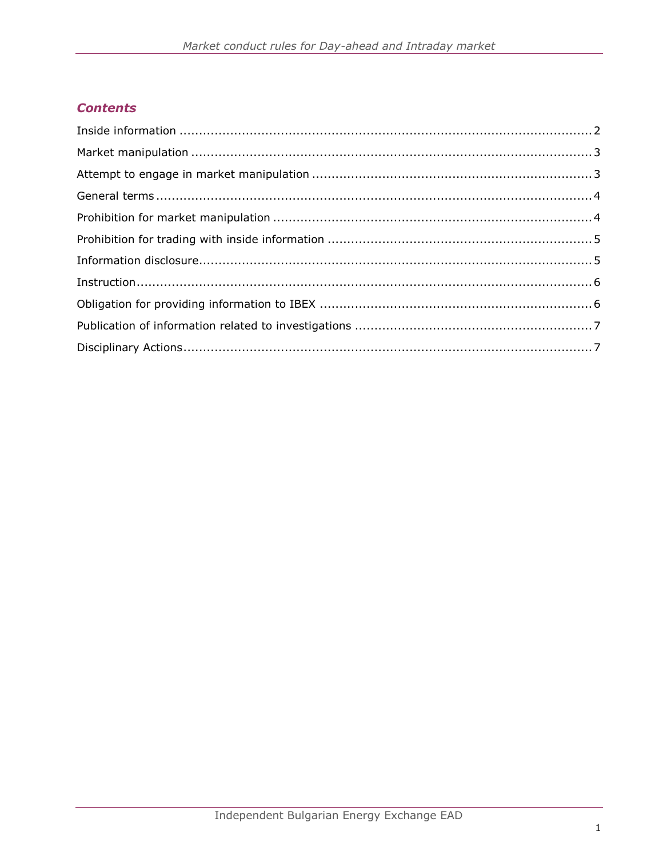# **Contents**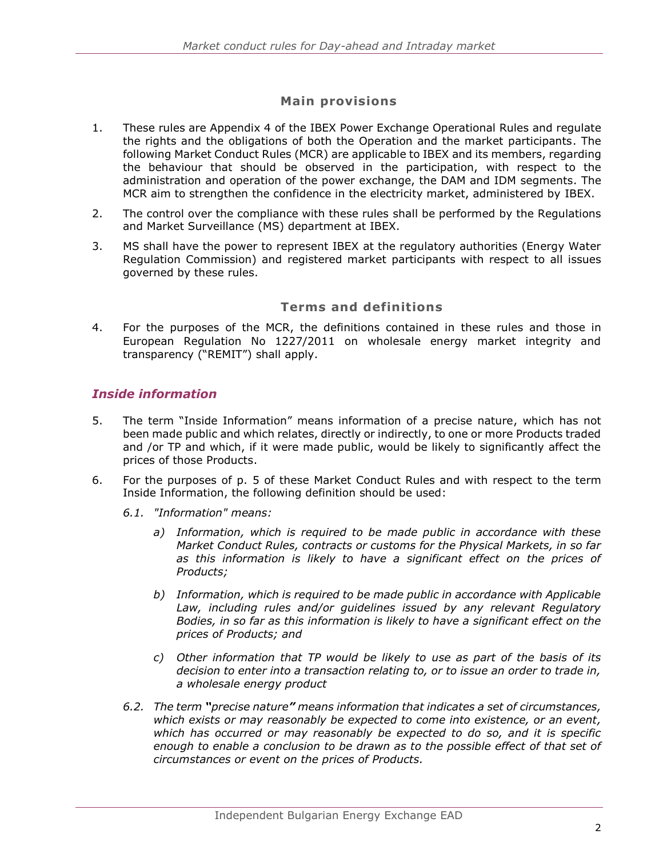# **Main provisions**

- 1. These rules are Appendix 4 of the IBEX Power Exchange Operational Rules and regulate the rights and the obligations of both the Operation and the market participants. The following Market Conduct Rules (MCR) are applicable to IBEX and its members, regarding the behaviour that should be observed in the participation, with respect to the administration and operation of the power exchange, the DAM and IDM segments. The MCR aim to strengthen the confidence in the electricity market, administered by IBEX.
- 2. The control over the compliance with these rules shall be performed by the Regulations and Market Surveillance (MS) department at IBEX.
- 3. MS shall have the power to represent IBEX at the regulatory authorities (Energy Water Regulation Commission) and registered market participants with respect to all issues governed by these rules.

#### **Terms and definitions**

4. For the purposes of the MCR, the definitions contained in these rules and those in European Regulation No 1227/2011 on wholesale energy market integrity and transparency ("REMIT") shall apply.

#### <span id="page-2-0"></span>*Inside information*

- 5. The term "Inside Information" means information of a precise nature, which has not been made public and which relates, directly or indirectly, to one or more Products traded and /or TP and which, if it were made public, would be likely to significantly affect the prices of those Products.
- 6. For the purposes of p. 5 of these Market Conduct Rules and with respect to the term Inside Information, the following definition should be used:
	- *6.1. "Information" means:*
		- *a) Information, which is required to be made public in accordance with these Market Conduct Rules, contracts or customs for the Physical Markets, in so far as this information is likely to have a significant effect on the prices of Products;*
		- *b) Information, which is required to be made public in accordance with Applicable*  Law, including rules and/or guidelines issued by any relevant Regulatory *Bodies, in so far as this information is likely to have a significant effect on the prices of Products; and*
		- *c) Other information that TP would be likely to use as part of the basis of its decision to enter into a transaction relating to, or to issue an order to trade in, a wholesale energy product*
	- *6.2. The term "precise nature" means information that indicates a set of circumstances, which exists or may reasonably be expected to come into existence, or an event, which has occurred or may reasonably be expected to do so, and it is specific*  enough to enable a conclusion to be drawn as to the possible effect of that set of *circumstances or event on the prices of Products.*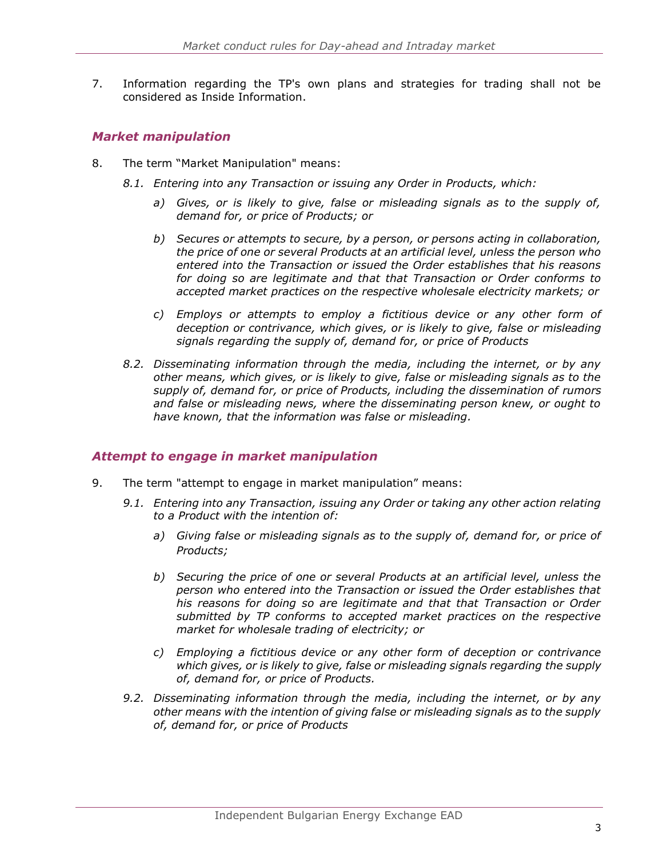7. Information regarding the TP's own plans and strategies for trading shall not be considered as Inside Information.

#### <span id="page-3-0"></span>*Market manipulation*

- 8. The term "Market Manipulation" means:
	- *8.1. Entering into any Transaction or issuing any Order in Products, which:*
		- *a) Gives, or is likely to give, false or misleading signals as to the supply of, demand for, or price of Products; or*
		- *b) Secures or attempts to secure, by a person, or persons acting in collaboration, the price of one or several Products at an artificial level, unless the person who entered into the Transaction or issued the Order establishes that his reasons for doing so are legitimate and that that Transaction or Order conforms to accepted market practices on the respective wholesale electricity markets; or*
		- *c) Employs or attempts to employ a fictitious device or any other form of deception or contrivance, which gives, or is likely to give, false or misleading signals regarding the supply of, demand for, or price of Products*
	- *8.2. Disseminating information through the media, including the internet, or by any other means, which gives, or is likely to give, false or misleading signals as to the supply of, demand for, or price of Products, including the dissemination of rumors and false or misleading news, where the disseminating person knew, or ought to have known, that the information was false or misleading.*

#### <span id="page-3-1"></span>*Attempt to engage in market manipulation*

- 9. The term "attempt to engage in market manipulation" means:
	- *9.1. Entering into any Transaction, issuing any Order or taking any other action relating to a Product with the intention of:*
		- *a) Giving false or misleading signals as to the supply of, demand for, or price of Products;*
		- *b) Securing the price of one or several Products at an artificial level, unless the person who entered into the Transaction or issued the Order establishes that his reasons for doing so are legitimate and that that Transaction or Order submitted by TP conforms to accepted market practices on the respective market for wholesale trading of electricity; or*
		- *c) Employing a fictitious device or any other form of deception or contrivance which gives, or is likely to give, false or misleading signals regarding the supply of, demand for, or price of Products.*
	- *9.2. Disseminating information through the media, including the internet, or by any other means with the intention of giving false or misleading signals as to the supply of, demand for, or price of Products*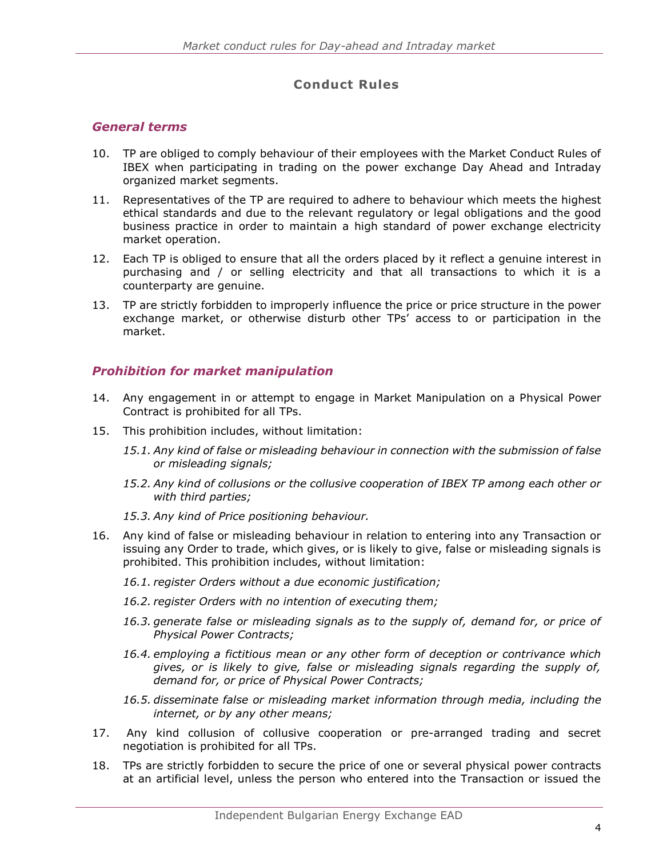# **Conduct Rules**

#### <span id="page-4-0"></span>*General terms*

- 10. TP are obliged to comply behaviour of their employees with the Market Conduct Rules of IBEX when participating in trading on the power exchange Day Ahead and Intraday organized market segments.
- 11. Representatives of the TP are required to adhere to behaviour which meets the highest ethical standards and due to the relevant regulatory or legal obligations and the good business practice in order to maintain a high standard of power exchange electricity market operation.
- 12. Each TP is obliged to ensure that all the orders placed by it reflect a genuine interest in purchasing and / or selling electricity and that all transactions to which it is a counterparty are genuine.
- 13. TP are strictly forbidden to improperly influence the price or price structure in the power exchange market, or otherwise disturb other TPs' access to or participation in the market.

#### <span id="page-4-1"></span>*Prohibition for market manipulation*

- 14. Any engagement in or attempt to engage in Market Manipulation on a Physical Power Contract is prohibited for all TPs.
- 15. This prohibition includes, without limitation:
	- *15.1. Any kind of false or misleading behaviour in connection with the submission of false or misleading signals;*
	- *15.2. Any kind of collusions or the collusive cooperation of IBEX TP among each other or with third parties;*
	- *15.3. Any kind of Price positioning behaviour.*
- 16. Any kind of false or misleading behaviour in relation to entering into any Transaction or issuing any Order to trade, which gives, or is likely to give, false or misleading signals is prohibited. This prohibition includes, without limitation:
	- *16.1. register Orders without a due economic justification;*
	- *16.2. register Orders with no intention of executing them;*
	- *16.3. generate false or misleading signals as to the supply of, demand for, or price of Physical Power Contracts;*
	- *16.4. employing a fictitious mean or any other form of deception or contrivance which gives, or is likely to give, false or misleading signals regarding the supply of, demand for, or price of Physical Power Contracts;*
	- *16.5. disseminate false or misleading market information through media, including the internet, or by any other means;*
- 17. Any kind collusion of collusive cooperation or pre-arranged trading and secret negotiation is prohibited for all TPs.
- 18. TPs are strictly forbidden to secure the price of one or several physical power contracts at an artificial level, unless the person who entered into the Transaction or issued the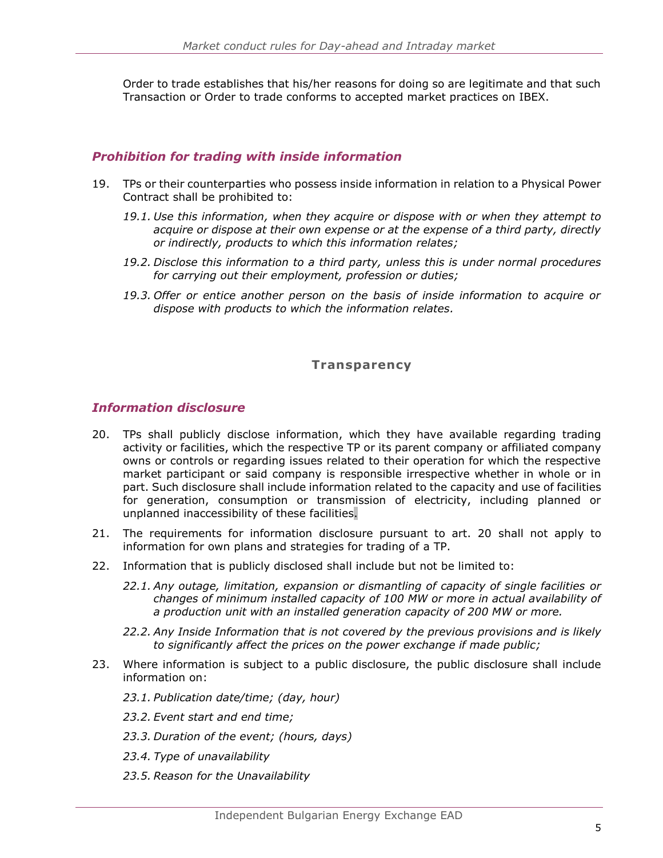Order to trade establishes that his/her reasons for doing so are legitimate and that such Transaction or Order to trade conforms to accepted market practices on IBEX.

#### <span id="page-5-0"></span>*Prohibition for trading with inside information*

- 19. TPs or their counterparties who possess inside information in relation to a Physical Power Contract shall be prohibited to:
	- *19.1. Use this information, when they acquire or dispose with or when they attempt to acquire or dispose at their own expense or at the expense of a third party, directly or indirectly, products to which this information relates;*
	- *19.2. Disclose this information to a third party, unless this is under normal procedures for carrying out their employment, profession or duties;*
	- *19.3. Offer or entice another person on the basis of inside information to acquire or dispose with products to which the information relates.*

#### **Transparency**

#### <span id="page-5-1"></span>*Information disclosure*

- 20. TPs shall publicly disclose information, which they have available regarding trading activity or facilities, which the respective TP or its parent company or affiliated company owns or controls or regarding issues related to their operation for which the respective market participant or said company is responsible irrespective whether in whole or in part. Such disclosure shall include information related to the capacity and use of facilities for generation, consumption or transmission of electricity, including planned or unplanned inaccessibility of these facilities.
- 21. The requirements for information disclosure pursuant to art. 20 shall not apply to information for own plans and strategies for trading of a TP.
- 22. Information that is publicly disclosed shall include but not be limited to:
	- *22.1. Any outage, limitation, expansion or dismantling of capacity of single facilities or changes of minimum installed capacity of 100 MW or more in actual availability of a production unit with an installed generation capacity of 200 MW or more.*
	- *22.2. Any Inside Information that is not covered by the previous provisions and is likely to significantly affect the prices on the power exchange if made public;*
- 23. Where information is subject to a public disclosure, the public disclosure shall include information on:
	- *23.1. Publication date/time; (day, hour)*
	- *23.2. Event start and end time;*
	- *23.3. Duration of the event; (hours, days)*
	- *23.4. Type of unavailability*
	- *23.5. Reason for the Unavailability*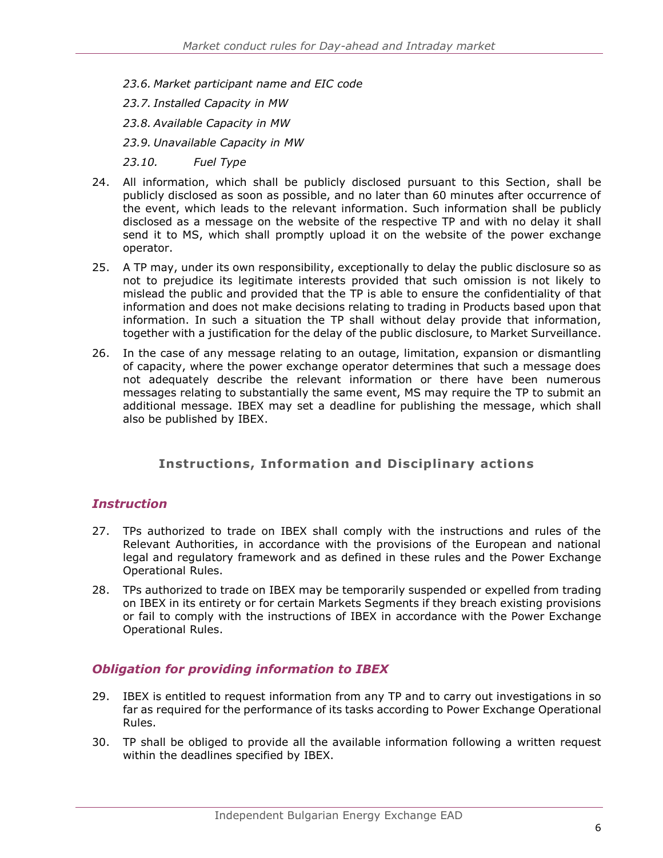*23.6. Market participant name and EIC code*

*23.7. Installed Capacity in MW*

*23.8. Available Capacity in MW*

*23.9. Unavailable Capacity in MW*

*23.10. Fuel Type*

- 24. All information, which shall be publicly disclosed pursuant to this Section, shall be publicly disclosed as soon as possible, and no later than 60 minutes after occurrence of the event, which leads to the relevant information. Such information shall be publicly disclosed as a message on the website of the respective TP and with no delay it shall send it to MS, which shall promptly upload it on the website of the power exchange operator.
- 25. A TP may, under its own responsibility, exceptionally to delay the public disclosure so as not to prejudice its legitimate interests provided that such omission is not likely to mislead the public and provided that the TP is able to ensure the confidentiality of that information and does not make decisions relating to trading in Products based upon that information. In such a situation the TP shall without delay provide that information, together with a justification for the delay of the public disclosure, to Market Surveillance.
- 26. In the case of any message relating to an outage, limitation, expansion or dismantling of capacity, where the power exchange operator determines that such a message does not adequately describe the relevant information or there have been numerous messages relating to substantially the same event, MS may require the TP to submit an additional message. IBEX may set a deadline for publishing the message, which shall also be published by IBEX.

#### **Instructions, Information and Disciplinary actions**

#### <span id="page-6-0"></span>*Instruction*

- 27. TPs authorized to trade on IBEX shall comply with the instructions and rules of the Relevant Authorities, in accordance with the provisions of the European and national legal and regulatory framework and as defined in these rules and the Power Exchange Operational Rules.
- 28. TPs authorized to trade on IBEX may be temporarily suspended or expelled from trading on IBEX in its entirety or for certain Markets Segments if they breach existing provisions or fail to comply with the instructions of IBEX in accordance with the Power Exchange Operational Rules.

#### <span id="page-6-1"></span>*Obligation for providing information to IBEX*

- 29. IBEX is entitled to request information from any TP and to carry out investigations in so far as required for the performance of its tasks according to Power Exchange Operational Rules.
- 30. TP shall be obliged to provide all the available information following a written request within the deadlines specified by IBEX.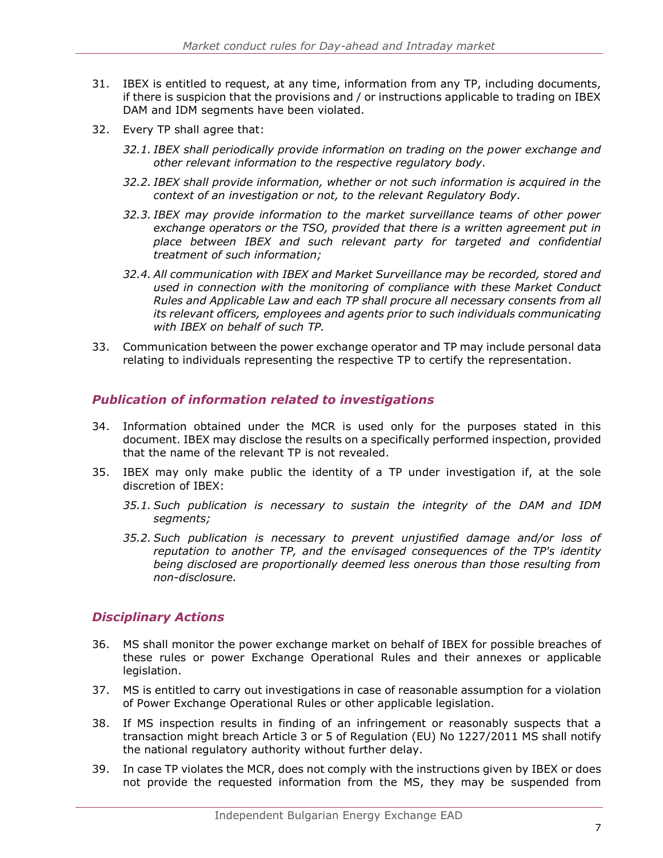- 31. IBEX is entitled to request, at any time, information from any TP, including documents, if there is suspicion that the provisions and / or instructions applicable to trading on IBEX DAM and IDM segments have been violated.
- 32. Every TP shall agree that:
	- *32.1. IBEX shall periodically provide information on trading on the power exchange and other relevant information to the respective regulatory body.*
	- *32.2. IBEX shall provide information, whether or not such information is acquired in the context of an investigation or not, to the relevant Regulatory Body.*
	- *32.3. IBEX may provide information to the market surveillance teams of other power exchange operators or the TSO, provided that there is a written agreement put in place between IBEX and such relevant party for targeted and confidential treatment of such information;*
	- *32.4. All communication with IBEX and Market Surveillance may be recorded, stored and used in connection with the monitoring of compliance with these Market Conduct Rules and Applicable Law and each TP shall procure all necessary consents from all its relevant officers, employees and agents prior to such individuals communicating with IBEX on behalf of such TP.*
- 33. Communication between the power exchange operator and TP may include personal data relating to individuals representing the respective TP to certify the representation.

#### <span id="page-7-0"></span>*Publication of information related to investigations*

- 34. Information obtained under the MCR is used only for the purposes stated in this document. IBEX may disclose the results on a specifically performed inspection, provided that the name of the relevant TP is not revealed.
- 35. IBEX may only make public the identity of a TP under investigation if, at the sole discretion of IBEX:
	- *35.1. Such publication is necessary to sustain the integrity of the DAM and IDM segments;*
	- *35.2. Such publication is necessary to prevent unjustified damage and/or loss of reputation to another TP, and the envisaged consequences of the TP's identity being disclosed are proportionally deemed less onerous than those resulting from non-disclosure.*

#### <span id="page-7-1"></span>*Disciplinary Actions*

- 36. MS shall monitor the power exchange market on behalf of IBEX for possible breaches of these rules or power Exchange Operational Rules and their annexes or applicable legislation.
- 37. MS is entitled to carry out investigations in case of reasonable assumption for a violation of Power Exchange Operational Rules or other applicable legislation.
- 38. If MS inspection results in finding of an infringement or reasonably suspects that a transaction might breach Article 3 or 5 of Regulation (EU) No 1227/2011 MS shall notify the national regulatory authority without further delay.
- 39. In case TP violates the MCR, does not comply with the instructions given by IBEX or does not provide the requested information from the MS, they may be suspended from